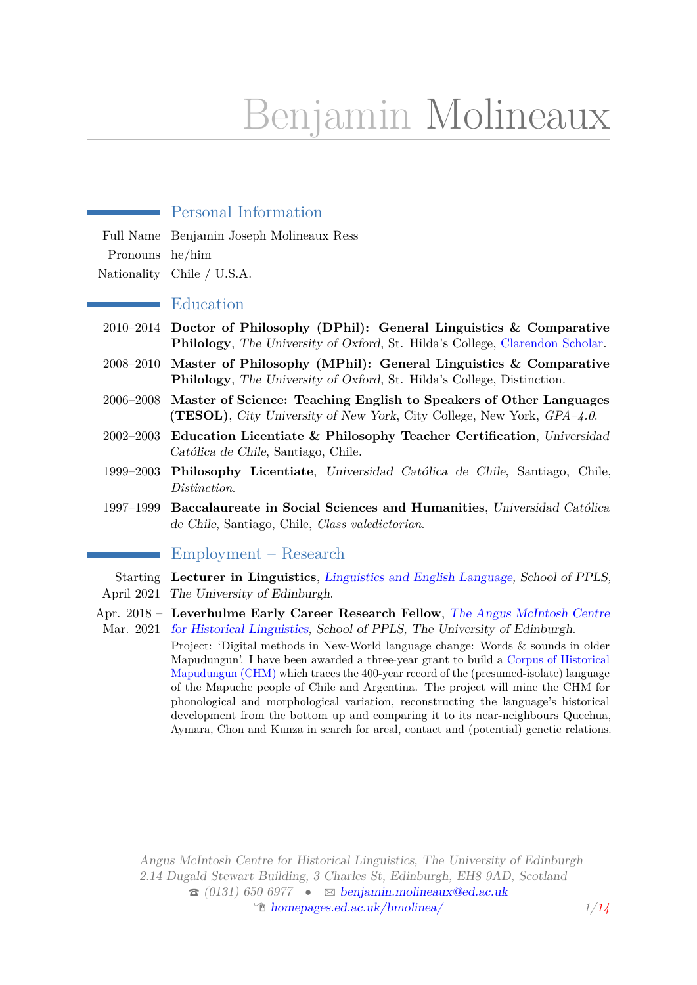# Benjamin Molineaux

# Personal Information Full Name Benjamin Joseph Molineaux Ress Pronouns he/him Nationality Chile / U.S.A. **Education** 2010–2014 **Doctor of Philosophy (DPhil): General Linguistics & Comparative Philology**, The University of Oxford, St. Hilda's College, [Clarendon Scholar.](http://www.ox.ac.uk/clarendon/scholar-class-lists/previous-scholars) 2008–2010 **Master of Philosophy (MPhil): General Linguistics & Comparative Philology**, The University of Oxford, St. Hilda's College, Distinction. 2006–2008 **Master of Science: Teaching English to Speakers of Other Languages (TESOL)**, City University of New York, City College, New York, *GPA–4.0*. 2002–2003 **Education Licentiate & Philosophy Teacher Certification**, Universidad Católica de Chile, Santiago, Chile. 1999–2003 **Philosophy Licentiate**, Universidad Católica de Chile, Santiago, Chile, *Distinction*. 1997–1999 **Baccalaureate in Social Sciences and Humanities**, Universidad Católica de Chile, Santiago, Chile, *Class valedictorian*. Employment – Research Starting **Lecturer in Linguistics**, [Linguistics and English Language,](http://www.lel.ed.ac.uk/) School of PPLS, April 2021 The University of Edinburgh. Apr. 2018 – **Leverhulme Early Career Research Fellow**, [The Angus McIntosh Centre](http://www.amc.lel.ed.ac.uk/) Mar. 2021 [for Historical Linguistics,](http://www.amc.lel.ed.ac.uk/) School of PPLS, The University of Edinburgh. Project: 'Digital methods in New-World language change: Words & sounds in older Mapudungun'. I have been awarded a three-year grant to build a [Corpus of Historical](https://benmolineaux.github.io/) [Mapudungun \(CHM\)](https://benmolineaux.github.io/) which traces the 400-year record of the (presumed-isolate) language of the Mapuche people of Chile and Argentina. The project will mine the CHM for phonological and morphological variation, reconstructing the language's historical development from the bottom up and comparing it to its near-neighbours Quechua, Aymara, Chon and Kunza in search for areal, contact and (potential) genetic relations.

Angus McIntosh Centre for Historical Linguistics, The University of Edinburgh 2.14 Dugald Stewart Building, 3 Charles St, Edinburgh, EH8 9AD, Scotland  $\hat{\sigma}$  (0131) 650 6977 •  $\approx$  [benjamin.molineaux@ed.ac.uk](mailto:benjamin.molineaux@ed.ac.uk) <sup>*I*</sup> [homepages.ed.ac.uk/bmolinea/](http://homepages.ed.ac.uk/bmolinea/) *1[/14](#page-12-0)*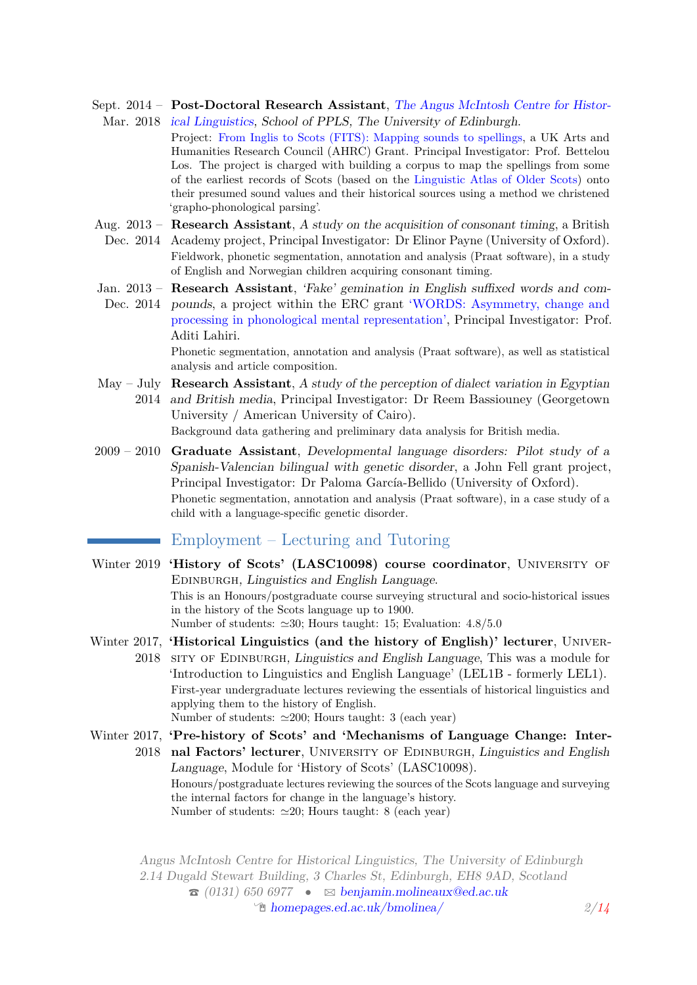- Sept. 2014 **Post-Doctoral Research Assistant**, [The Angus McIntosh Centre for Histor](http://www.amc.lel.ed.ac.uk/)Mar. 2018 [ical Linguistics,](http://www.amc.lel.ed.ac.uk/) School of PPLS, The University of Edinburgh.
	- Project: [From Inglis to Scots \(FITS\): Mapping sounds to spellings,](http://www.amc.lel.ed.ac.uk/fits/) a UK Arts and Humanities Research Council (AHRC) Grant. Principal Investigator: Prof. Bettelou Los. The project is charged with building a corpus to map the spellings from some of the earliest records of Scots (based on the [Linguistic Atlas of Older Scots\)](http://www.amc.lel.ed.ac.uk/fits/index.php/about/laos/) onto their presumed sound values and their historical sources using a method we christened 'grapho-phonological parsing'.
- Aug. 2013 **Research Assistant**, A study on the acquisition of consonant timing, a British
- Dec. 2014 Academy project, Principal Investigator: Dr Elinor Payne (University of Oxford). Fieldwork, phonetic segmentation, annotation and analysis (Praat software), in a study of English and Norwegian children acquiring consonant timing.
- Jan. 2013 **Research Assistant**, 'Fake' gemination in English suffixed words and com-Dec. 2014 pounds, a project within the ERC grant ['WORDS: Asymmetry, change and](http://cordis.europa.eu/projects/rcn/100084_de.html) [processing in phonological mental representation',](http://cordis.europa.eu/projects/rcn/100084_de.html) Principal Investigator: Prof. Aditi Lahiri.

Phonetic segmentation, annotation and analysis (Praat software), as well as statistical analysis and article composition.

- May July **Research Assistant**, A study of the perception of dialect variation in Egyptian 2014 and British media, Principal Investigator: Dr Reem Bassiouney (Georgetown University / American University of Cairo). Background data gathering and preliminary data analysis for British media.
- 2009 2010 **Graduate Assistant**, Developmental language disorders: Pilot study of a Spanish-Valencian bilingual with genetic disorder, a John Fell grant project, Principal Investigator: Dr Paloma García-Bellido (University of Oxford). Phonetic segmentation, annotation and analysis (Praat software), in a case study of a child with a language-specific genetic disorder.

# Employment – Lecturing and Tutoring

- Winter 2019 **'History of Scots' (LASC10098) course coordinator**, University of EDINBURGH, Linguistics and English Language. This is an Honours/postgraduate course surveying structural and socio-historical issues in the history of the Scots language up to 1900. Number of students:  $\simeq 30$ ; Hours taught: 15; Evaluation: 4.8/5.0
- Winter 2017, **'Historical Linguistics (and the history of English)' lecturer**, Univer-2018 SITY OF EDINBURGH, Linguistics and English Language, This was a module for 'Introduction to Linguistics and English Language' (LEL1B - formerly LEL1). First-year undergraduate lectures reviewing the essentials of historical linguistics and applying them to the history of English. Number of students:  $\approx 200$ ; Hours taught: 3 (each year)
- Winter 2017, **'Pre-history of Scots' and 'Mechanisms of Language Change: Inter-**2018 nal Factors' lecturer, UNIVERSITY OF EDINBURGH, Linguistics and English Language, Module for 'History of Scots' (LASC10098). Honours/postgraduate lectures reviewing the sources of the Scots language and surveying the internal factors for change in the language's history. Number of students:  $\simeq 20$ ; Hours taught: 8 (each year)

Angus McIntosh Centre for Historical Linguistics, The University of Edinburgh 2.14 Dugald Stewart Building, 3 Charles St, Edinburgh, EH8 9AD, Scotland  $\hat{\sigma}$  (0131) 650 6977 •  $\approx$  [benjamin.molineaux@ed.ac.uk](mailto:benjamin.molineaux@ed.ac.uk) Í [homepages.ed.ac.uk/bmolinea/](http://homepages.ed.ac.uk/bmolinea/) *2[/14](#page-12-0)*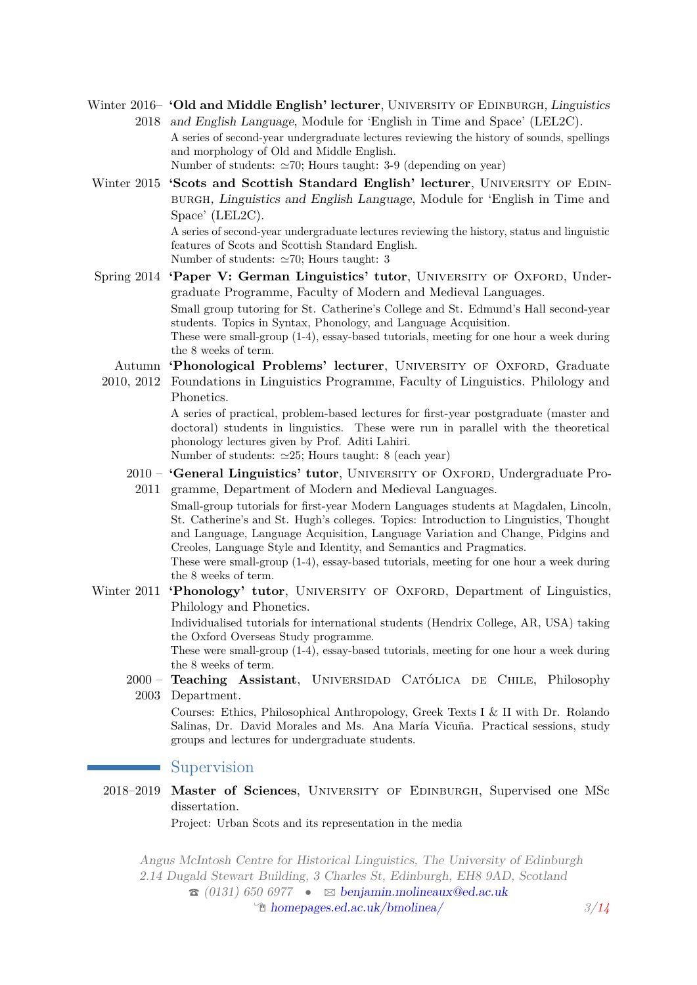Winter 2016- 'Old and Middle English' lecturer, UNIVERSITY OF EDINBURGH, Linguistics 2018 and English Language, Module for 'English in Time and Space' (LEL2C).

A series of second-year undergraduate lectures reviewing the history of sounds, spellings and morphology of Old and Middle English.

Number of students:  $\simeq 70$ ; Hours taught: 3-9 (depending on year)

Winter 2015 **'Scots and Scottish Standard English' lecturer**, UNIVERSITY OF EDINburgh, Linguistics and English Language, Module for 'English in Time and Space' (LEL2C). A series of second-year undergraduate lectures reviewing the history, status and linguistic features of Scots and Scottish Standard English.

Number of students:  $\simeq 70$ ; Hours taught: 3

- Spring 2014 **'Paper V: German Linguistics' tutor**, UNIVERSITY OF OXFORD, Undergraduate Programme, Faculty of Modern and Medieval Languages. Small group tutoring for St. Catherine's College and St. Edmund's Hall second-year students. Topics in Syntax, Phonology, and Language Acquisition. These were small-group (1-4), essay-based tutorials, meeting for one hour a week during the 8 weeks of term.
	- Autumn 'Phonological Problems' lecturer, UNIVERSITY OF OXFORD, Graduate
	- 2010, 2012 Foundations in Linguistics Programme, Faculty of Linguistics. Philology and Phonetics.

A series of practical, problem-based lectures for first-year postgraduate (master and doctoral) students in linguistics. These were run in parallel with the theoretical phonology lectures given by Prof. Aditi Lahiri.

Number of students:  $\approx 25$ ; Hours taught: 8 (each year)

2010 - 'General Linguistics' tutor, UNIVERSITY OF OXFORD, Undergraduate Pro-2011 gramme, Department of Modern and Medieval Languages.

Small-group tutorials for first-year Modern Languages students at Magdalen, Lincoln, St. Catherine's and St. Hugh's colleges. Topics: Introduction to Linguistics, Thought and Language, Language Acquisition, Language Variation and Change, Pidgins and Creoles, Language Style and Identity, and Semantics and Pragmatics.

These were small-group (1-4), essay-based tutorials, meeting for one hour a week during the 8 weeks of term.

Winter 2011 **'Phonology' tutor**, UNIVERSITY OF OXFORD, Department of Linguistics, Philology and Phonetics.

> Individualised tutorials for international students (Hendrix College, AR, USA) taking the Oxford Overseas Study programme.

> These were small-group (1-4), essay-based tutorials, meeting for one hour a week during the 8 weeks of term.

2000 – **Teaching Assistant**, Universidad Católica de Chile, Philosophy 2003 Department.

Courses: Ethics, Philosophical Anthropology, Greek Texts I & II with Dr. Rolando Salinas, Dr. David Morales and Ms. Ana María Vicuña. Practical sessions, study groups and lectures for undergraduate students.

#### Supervision

2018–2019 **Master of Sciences**, University of Edinburgh, Supervised one MSc dissertation.

Project: Urban Scots and its representation in the media

Angus McIntosh Centre for Historical Linguistics, The University of Edinburgh 2.14 Dugald Stewart Building, 3 Charles St, Edinburgh, EH8 9AD, Scotland  $\hat{\sigma}$  (0131) 650 6977 •  $\approx$  [benjamin.molineaux@ed.ac.uk](mailto:benjamin.molineaux@ed.ac.uk) Í [homepages.ed.ac.uk/bmolinea/](http://homepages.ed.ac.uk/bmolinea/) *3[/14](#page-12-0)*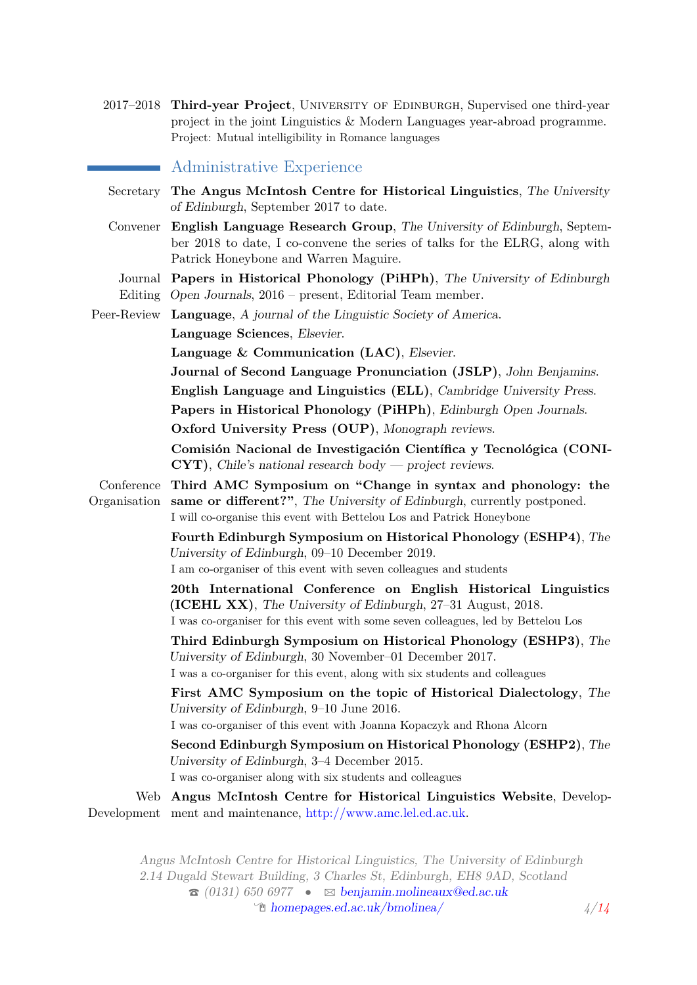2017–2018 **Third-year Project**, University of Edinburgh, Supervised one third-year project in the joint Linguistics & Modern Languages year-abroad programme. Project: Mutual intelligibility in Romance languages

#### Administrative Experience

Secretary **The Angus McIntosh Centre for Historical Linguistics**, The University of Edinburgh, September 2017 to date. Convener **English Language Research Group**, The University of Edinburgh, September 2018 to date, I co-convene the series of talks for the ELRG, along with Patrick Honeybone and Warren Maguire. Journal **Papers in Historical Phonology (PiHPh)**, The University of Edinburgh Editing Open Journals, 2016 – present, Editorial Team member. Peer-Review **Language**, A journal of the Linguistic Society of America. **Language Sciences**, Elsevier. **Language & Communication (LAC)**, Elsevier. **Journal of Second Language Pronunciation (JSLP)**, John Benjamins. **English Language and Linguistics (ELL)**, Cambridge University Press. **Papers in Historical Phonology (PiHPh)**, Edinburgh Open Journals. **Oxford University Press (OUP)**, Monograph reviews. **Comisión Nacional de Investigación Científica y Tecnológica (CONI-CYT)**, Chile's national research body — project reviews. Conference **Third AMC Symposium on "Change in syntax and phonology: the** Organisation **same or different?"**, The University of Edinburgh, currently postponed. I will co-organise this event with Bettelou Los and Patrick Honeybone **Fourth Edinburgh Symposium on Historical Phonology (ESHP4)**, The University of Edinburgh, 09–10 December 2019. I am co-organiser of this event with seven colleagues and students **20th International Conference on English Historical Linguistics (ICEHL XX)**, The University of Edinburgh, 27–31 August, 2018. I was co-organiser for this event with some seven colleagues, led by Bettelou Los **Third Edinburgh Symposium on Historical Phonology (ESHP3)**, The University of Edinburgh, 30 November–01 December 2017. I was a co-organiser for this event, along with six students and colleagues **First AMC Symposium on the topic of Historical Dialectology**, The University of Edinburgh, 9–10 June 2016. I was co-organiser of this event with Joanna Kopaczyk and Rhona Alcorn **Second Edinburgh Symposium on Historical Phonology (ESHP2)**, The University of Edinburgh, 3–4 December 2015. I was co-organiser along with six students and colleagues Web **Angus McIntosh Centre for Historical Linguistics Website**, DevelopDevelopment ment and maintenance, [http://www.amc.lel.ed.ac.uk.](http://www.amc.lel.ed.ac.uk)

Angus McIntosh Centre for Historical Linguistics, The University of Edinburgh 2.14 Dugald Stewart Building, 3 Charles St, Edinburgh, EH8 9AD, Scotland  $\hat{\sigma}$  (0131) 650 6977 •  $\approx$  [benjamin.molineaux@ed.ac.uk](mailto:benjamin.molineaux@ed.ac.uk) Í [homepages.ed.ac.uk/bmolinea/](http://homepages.ed.ac.uk/bmolinea/) *4[/14](#page-12-0)*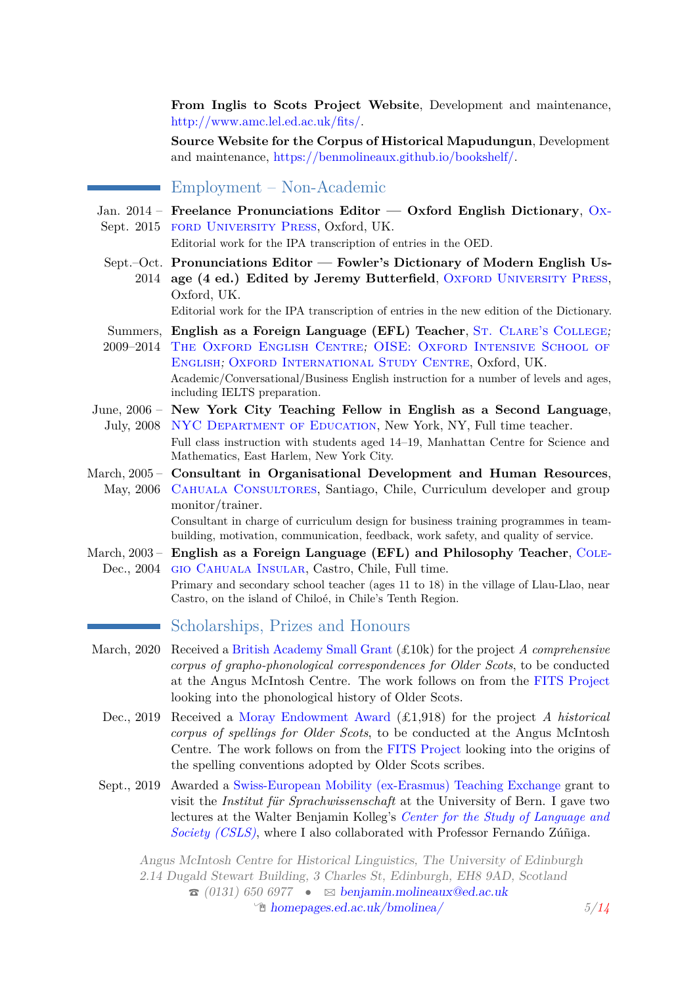**From Inglis to Scots Project Website**, Development and maintenance, [http://www.amc.lel.ed.ac.uk/fits/.](http://www.amc.lel.ed.ac.uk/fits/)

**Source Website for the Corpus of Historical Mapudungun**, Development and maintenance, [https://benmolineaux.github.io/bookshelf/.](https://benmolineaux.github.io/bookshelf/)

# Employment – Non-Academic

Jan. 2014 – **Freelance Pronunciations Editor — Oxford English Dictionary**, [Ox-](http://ukcatalogue.oup.com/)Sept. 2015 FORD UNIVERSITY PRESS, Oxford, UK.

Editorial work for the IPA transcription of entries in the OED.

Sept.–Oct. **Pronunciations Editor — Fowler's Dictionary of Modern English Us-**2014 age (4 ed.) Edited by Jeremy Butterfield, OXFORD UNIVERSITY PRESS, Oxford, UK.

Editorial work for the IPA transcription of entries in the new edition of the Dictionary.

- Summers, English as a Foreign Language (EFL) Teacher, St. CLARE's COLLEGE; 2009–2014 [The Oxford English Centre](http://www.oxfordenglish.co.uk/); [OISE: Oxford Intensive School of](http://www.oise.com)
- [English](http://www.oise.com); [Oxford International Study Centre](http://www.oxintstudycentre.com/), Oxford, UK. Academic/Conversational/Business English instruction for a number of levels and ages, including IELTS preparation.
- June, 2006 **New York City Teaching Fellow in English as a Second Language**, July, 2008 NYC DEPARTMENT OF EDUCATION, New York, NY, Full time teacher. Full class instruction with students aged 14–19, Manhattan Centre for Science and

Mathematics, East Harlem, New York City.

March, 2005 – **Consultant in Organisational Development and Human Resources**, May, 2006 CAHUALA CONSULTORES, Santiago, Chile, Curriculum developer and group monitor/trainer.

Consultant in charge of curriculum design for business training programmes in teambuilding, motivation, communication, feedback, work safety, and quality of service.

March, 2003 – English as a Foreign Language (EFL) and Philosophy Teacher, COLE-Dec., 2004 GIO CAHUALA INSULAR, Castro, Chile, Full time. Primary and secondary school teacher (ages 11 to 18) in the village of Llau-Llao, near

Castro, on the island of Chiloé, in Chile's Tenth Region.

## Scholarships, Prizes and Honours

- March, 2020 Received a [British Academy Small Grant](https://www.thebritishacademy.ac.uk/funding/ba-leverhulme-small-research-grants/) (£10k) for the project *A comprehensive corpus of grapho-phonological correspondences for Older Scots*, to be conducted at the Angus McIntosh Centre. The work follows on from the [FITS Project](http://www.amc.lel.ed.ac.uk/fits/) looking into the phonological history of Older Scots.
	- Dec., 2019 Received a [Moray Endowment Award](https://www.ed.ac.uk/research-office/winning-research-funding/develop-idea/seed-funding/moray-endowment-fund) (£1,918) for the project *A historical corpus of spellings for Older Scots*, to be conducted at the Angus McIntosh Centre. The work follows on from the [FITS Project](http://www.amc.lel.ed.ac.uk/fits/) looking into the origins of the spelling conventions adopted by Older Scots scribes.
	- Sept., 2019 Awarded a [Swiss-European Mobility \(ex-Erasmus\) Teaching Exchange](https://www.unibe.ch/studies/mobility/staff/teaching_staff_exchange/index_eng.html) grant to visit the *Institut für Sprachwissenschaft* at the University of Bern. I gave two lectures at the Walter Benjamin Kolleg's *[Center for the Study of Language and](https://www.csls.unibe.ch/studium/veranstaltungen/lectures_und_workshops/index_ger.html) [Society \(CSLS\)](https://www.csls.unibe.ch/studium/veranstaltungen/lectures_und_workshops/index_ger.html)*, where I also collaborated with Professor Fernando Zúñiga.

Angus McIntosh Centre for Historical Linguistics, The University of Edinburgh 2.14 Dugald Stewart Building, 3 Charles St, Edinburgh, EH8 9AD, Scotland  $\hat{\sigma}$  (0131) 650 6977 •  $\approx$  [benjamin.molineaux@ed.ac.uk](mailto:benjamin.molineaux@ed.ac.uk) form **[homepages.ed.ac.uk/bmolinea/](http://homepages.ed.ac.uk/bmolinea/)**  $5/14$  $5/14$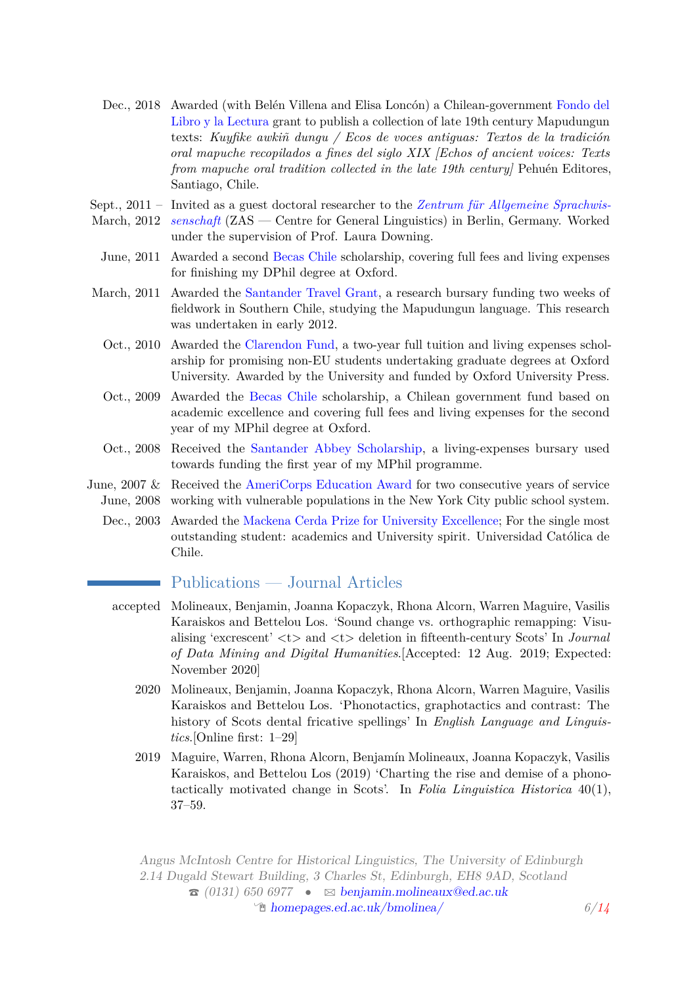- Dec., 2018 Awarded (with Belén Villena and Elisa Loncón) a Chilean-government [Fondo del](https://www.google.com/url?sa=t&rct=j&q=&esrc=s&source=web&cd=13&cad=rja&uact=8&ved=2ahUKEwi67ImH5uvkAhUKRhUIHQimDYcQFjAMegQIBxAJ&url=https%3A%2F%2Fwww.cultura.gob.cl%2Fwp-content%2Fuploads%2F2018%2F12%2Fnomina-resultados-libro-2019.pdf&usg=AOvVaw0NLqxC8WRUtlseG_hPTrvx) [Libro y la Lectura](https://www.google.com/url?sa=t&rct=j&q=&esrc=s&source=web&cd=13&cad=rja&uact=8&ved=2ahUKEwi67ImH5uvkAhUKRhUIHQimDYcQFjAMegQIBxAJ&url=https%3A%2F%2Fwww.cultura.gob.cl%2Fwp-content%2Fuploads%2F2018%2F12%2Fnomina-resultados-libro-2019.pdf&usg=AOvVaw0NLqxC8WRUtlseG_hPTrvx) grant to publish a collection of late 19th century Mapudungun texts: *Kuyfike awkiñ dungu / Ecos de voces antiguas: Textos de la tradición oral mapuche recopilados a fines del siglo XIX [Echos of ancient voices: Texts from mapuche oral tradition collected in the late 19th century]* Pehuén Editores, Santiago, Chile.
- Sept., 2011 Invited as a guest doctoral researcher to the *[Zentrum für Allgemeine Sprachwis-](http://www.zas.gwz-berlin.de/)*
- March, 2012 *[senschaft](http://www.zas.gwz-berlin.de/)* (ZAS Centre for General Linguistics) in Berlin, Germany. Worked under the supervision of Prof. Laura Downing.
- June, 2011 Awarded a second [Becas Chile](http://www.becaschile.cl/) scholarship, covering full fees and living expenses for finishing my DPhil degree at Oxford.
- March, 2011 Awarded the [Santander Travel Grant,](http://www.ox.ac.uk/feesandfunding/graduates/internationalopportunities/santander/) a research bursary funding two weeks of fieldwork in Southern Chile, studying the Mapudungun language. This research was undertaken in early 2012.
	- Oct., 2010 Awarded the [Clarendon Fund,](http://www.clarendon.ox.ac.uk/) a two-year full tuition and living expenses scholarship for promising non-EU students undertaking graduate degrees at Oxford University. Awarded by the University and funded by Oxford University Press.
	- Oct., 2009 Awarded the [Becas Chile](http://www.becaschile.cl) scholarship, a Chilean government fund based on academic excellence and covering full fees and living expenses for the second year of my MPhil degree at Oxford.
	- Oct., 2008 Received the [Santander Abbey Scholarship,](http://www.ox.ac.uk/feesandfunding/prospectivegrad/scholarships/university/santander/) a living-expenses bursary used towards funding the first year of my MPhil programme.
- June, 2007 & Received the [AmeriCorps Education Award](http://www.nationalservice.gov/programs/americorps/segal-americorps-education-award) for two consecutive years of service June, 2008 working with vulnerable populations in the New York City public school system.
	- Dec., 2003 Awarded the [Mackena Cerda Prize for University Excellence;](http://admisionyregistros.uc.cl/alumnos/premios-excelencia/premio-juan-mackenna-cerda-nomina) For the single most outstanding student: academics and University spirit. Universidad Católica de Chile.

# Publications — Journal Articles

- accepted Molineaux, Benjamin, Joanna Kopaczyk, Rhona Alcorn, Warren Maguire, Vasilis Karaiskos and Bettelou Los. 'Sound change vs. orthographic remapping: Visualising 'excrescent' <t> and <t> deletion in fifteenth-century Scots' In *Journal of Data Mining and Digital Humanities*.[Accepted: 12 Aug. 2019; Expected: November 2020]
	- 2020 Molineaux, Benjamin, Joanna Kopaczyk, Rhona Alcorn, Warren Maguire, Vasilis Karaiskos and Bettelou Los. 'Phonotactics, graphotactics and contrast: The history of Scots dental fricative spellings' In *English Language and Linguistics*.[Online first: 1–29]
	- 2019 Maguire, Warren, Rhona Alcorn, Benjamín Molineaux, Joanna Kopaczyk, Vasilis Karaiskos, and Bettelou Los (2019) 'Charting the rise and demise of a phonotactically motivated change in Scots'. In *Folia Linguistica Historica* 40(1), 37–59.

Angus McIntosh Centre for Historical Linguistics, The University of Edinburgh 2.14 Dugald Stewart Building, 3 Charles St, Edinburgh, EH8 9AD, Scotland  $\hat{\sigma}$  (0131) 650 6977 •  $\approx$  [benjamin.molineaux@ed.ac.uk](mailto:benjamin.molineaux@ed.ac.uk) Í [homepages.ed.ac.uk/bmolinea/](http://homepages.ed.ac.uk/bmolinea/) *6[/14](#page-12-0)*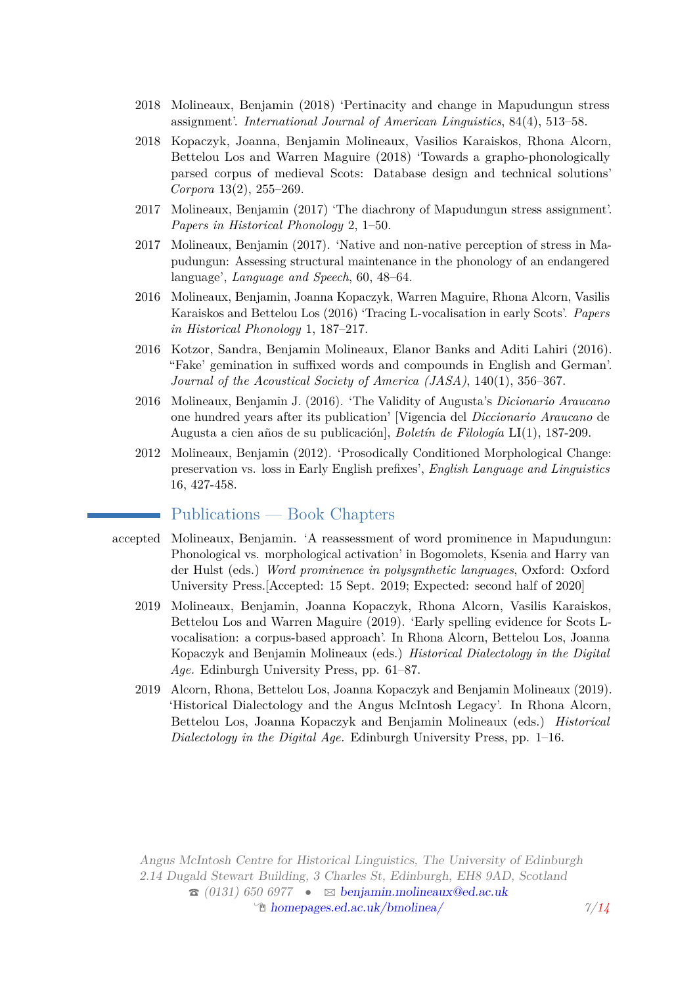- 2018 Molineaux, Benjamin (2018) 'Pertinacity and change in Mapudungun stress assignment'. *International Journal of American Linguistics*, 84(4), 513–58.
- 2018 Kopaczyk, Joanna, Benjamin Molineaux, Vasilios Karaiskos, Rhona Alcorn, Bettelou Los and Warren Maguire (2018) 'Towards a grapho-phonologically parsed corpus of medieval Scots: Database design and technical solutions' *Corpora* 13(2), 255–269.
- 2017 Molineaux, Benjamin (2017) 'The diachrony of Mapudungun stress assignment'. *Papers in Historical Phonology* 2, 1–50.
- 2017 Molineaux, Benjamin (2017). 'Native and non-native perception of stress in Mapudungun: Assessing structural maintenance in the phonology of an endangered language', *Language and Speech*, 60, 48–64.
- 2016 Molineaux, Benjamin, Joanna Kopaczyk, Warren Maguire, Rhona Alcorn, Vasilis Karaiskos and Bettelou Los (2016) 'Tracing L-vocalisation in early Scots'. *Papers in Historical Phonology* 1, 187–217.
- 2016 Kotzor, Sandra, Benjamin Molineaux, Elanor Banks and Aditi Lahiri (2016). "Fake' gemination in suffixed words and compounds in English and German'. *Journal of the Acoustical Society of America (JASA)*, 140(1), 356–367.
- 2016 Molineaux, Benjamin J. (2016). 'The Validity of Augusta's *Dicionario Araucano* one hundred years after its publication' [Vigencia del *Diccionario Araucano* de Augusta a cien años de su publicación], *Boletín de Filología* LI(1), 187-209.
- 2012 Molineaux, Benjamin (2012). 'Prosodically Conditioned Morphological Change: preservation vs. loss in Early English prefixes', *English Language and Linguistics* 16, 427-458.

# Publications — Book Chapters

- accepted Molineaux, Benjamin. 'A reassessment of word prominence in Mapudungun: Phonological vs. morphological activation' in Bogomolets, Ksenia and Harry van der Hulst (eds.) *Word prominence in polysynthetic languages*, Oxford: Oxford University Press.[Accepted: 15 Sept. 2019; Expected: second half of 2020]
	- 2019 Molineaux, Benjamin, Joanna Kopaczyk, Rhona Alcorn, Vasilis Karaiskos, Bettelou Los and Warren Maguire (2019). 'Early spelling evidence for Scots Lvocalisation: a corpus-based approach'. In Rhona Alcorn, Bettelou Los, Joanna Kopaczyk and Benjamin Molineaux (eds.) *Historical Dialectology in the Digital Age.* Edinburgh University Press, pp. 61–87.
	- 2019 Alcorn, Rhona, Bettelou Los, Joanna Kopaczyk and Benjamin Molineaux (2019). 'Historical Dialectology and the Angus McIntosh Legacy'. In Rhona Alcorn, Bettelou Los, Joanna Kopaczyk and Benjamin Molineaux (eds.) *Historical Dialectology in the Digital Age.* Edinburgh University Press, pp. 1–16.

Angus McIntosh Centre for Historical Linguistics, The University of Edinburgh 2.14 Dugald Stewart Building, 3 Charles St, Edinburgh, EH8 9AD, Scotland  $\hat{\sigma}$  (0131) 650 6977 •  $\approx$  [benjamin.molineaux@ed.ac.uk](mailto:benjamin.molineaux@ed.ac.uk)  $\mathcal{L}$  [homepages.ed.ac.uk/bmolinea/](http://homepages.ed.ac.uk/bmolinea/)  $\mathcal{L}/14$  $\mathcal{L}/14$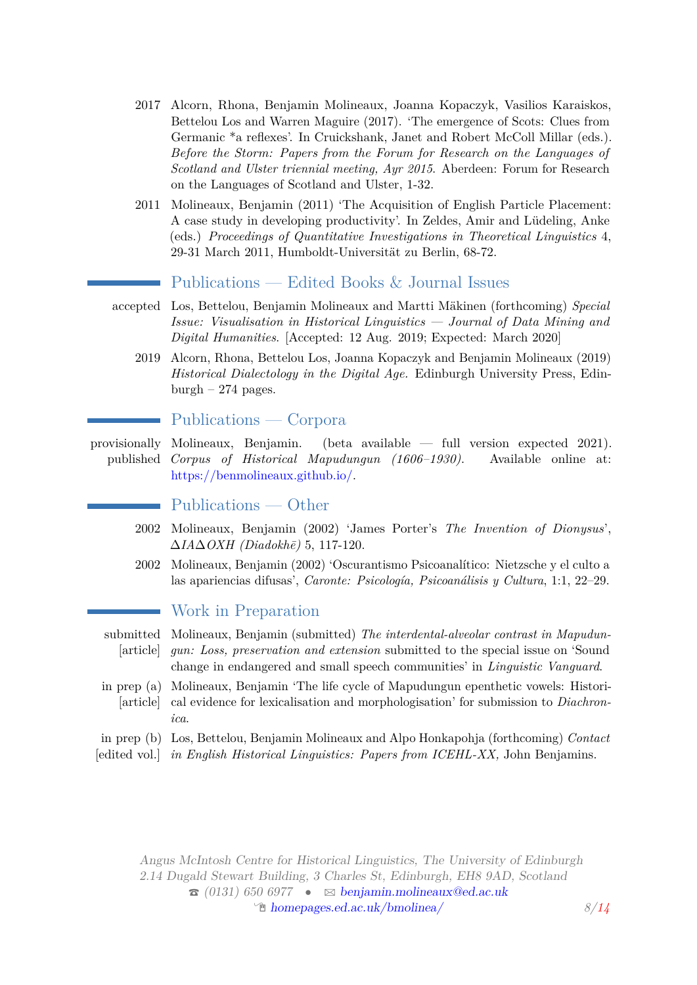- 2017 Alcorn, Rhona, Benjamin Molineaux, Joanna Kopaczyk, Vasilios Karaiskos, Bettelou Los and Warren Maguire (2017). 'The emergence of Scots: Clues from Germanic \*a reflexes'. In Cruickshank, Janet and Robert McColl Millar (eds.). *Before the Storm: Papers from the Forum for Research on the Languages of Scotland and Ulster triennial meeting, Ayr 2015*. Aberdeen: Forum for Research on the Languages of Scotland and Ulster, 1-32.
- 2011 Molineaux, Benjamin (2011) 'The Acquisition of English Particle Placement: A case study in developing productivity'. In Zeldes, Amir and Lüdeling, Anke (eds.) *Proceedings of Quantitative Investigations in Theoretical Linguistics* 4, 29-31 March 2011, Humboldt-Universität zu Berlin, 68-72.

#### Publications — Edited Books & Journal Issues

- accepted Los, Bettelou, Benjamin Molineaux and Martti Mäkinen (forthcoming) *Special Issue: Visualisation in Historical Linguistics — Journal of Data Mining and Digital Humanities*. [Accepted: 12 Aug. 2019; Expected: March 2020]
	- 2019 Alcorn, Rhona, Bettelou Los, Joanna Kopaczyk and Benjamin Molineaux (2019) *Historical Dialectology in the Digital Age.* Edinburgh University Press, Edin $burgh - 274 pages.$

#### Publications — Corpora

provisionally Molineaux, Benjamin. (beta available — full version expected 2021). published *Corpus of Historical Mapudungun (1606–1930)*. Available online at: [https://benmolineaux.github.io/.](https://benmolineaux.github.io/)

## Publications — Other

- 2002 Molineaux, Benjamin (2002) 'James Porter's *The Invention of Dionysus*', ∆*IA*∆*OXH (Diadokh¯e)* 5, 117-120.
- 2002 Molineaux, Benjamin (2002) 'Oscurantismo Psicoanalítico: Nietzsche y el culto a las apariencias difusas', *Caronte: Psicología, Psicoanálisis y Cultura*, 1:1, 22–29.

#### Work in Preparation

- submitted Molineaux, Benjamin (submitted) *The interdental-alveolar contrast in Mapudun-*[article] *gun: Loss, preservation and extension* submitted to the special issue on 'Sound change in endangered and small speech communities' in *Linguistic Vanguard*.
- in prep (a) Molineaux, Benjamin 'The life cycle of Mapudungun epenthetic vowels: Histori-[article] cal evidence for lexicalisation and morphologisation' for submission to *Diachronica*.
- in prep (b) Los, Bettelou, Benjamin Molineaux and Alpo Honkapohja (forthcoming) *Contact*
- [edited vol.] *in English Historical Linguistics: Papers from ICEHL-XX,* John Benjamins.

Angus McIntosh Centre for Historical Linguistics, The University of Edinburgh 2.14 Dugald Stewart Building, 3 Charles St, Edinburgh, EH8 9AD, Scotland  $\hat{\sigma}$  (0131) 650 6977 •  $\approx$  [benjamin.molineaux@ed.ac.uk](mailto:benjamin.molineaux@ed.ac.uk) Í [homepages.ed.ac.uk/bmolinea/](http://homepages.ed.ac.uk/bmolinea/) *8[/14](#page-12-0)*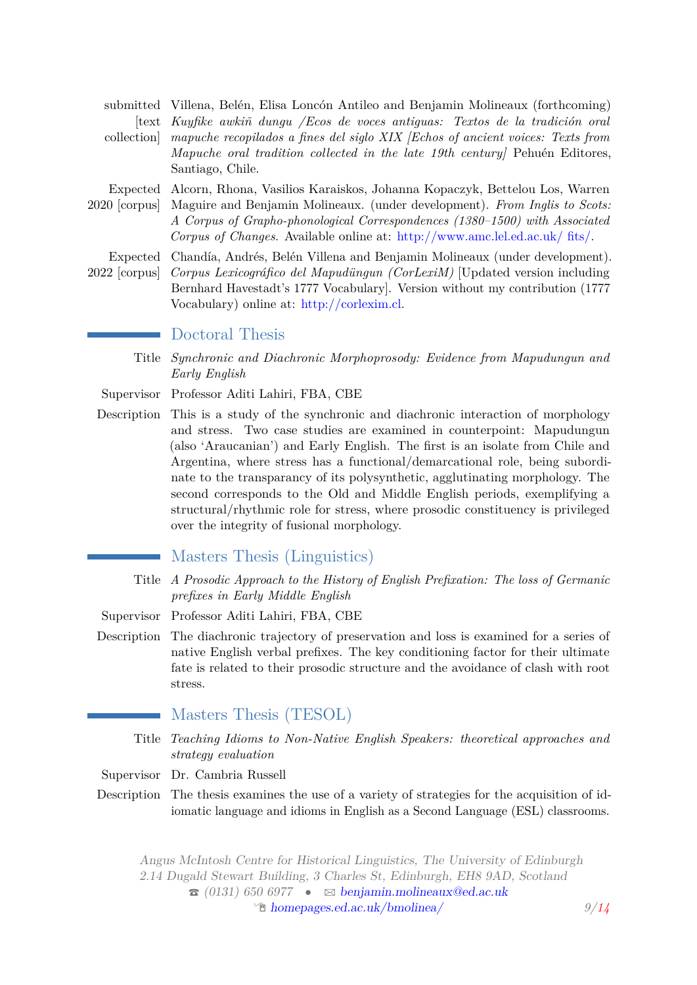|            | submitted Villena, Belén, Elisa Loncón Antileo and Benjamin Molineaux (forthcoming)                                                                                                                                                                                                                                                          |
|------------|----------------------------------------------------------------------------------------------------------------------------------------------------------------------------------------------------------------------------------------------------------------------------------------------------------------------------------------------|
|            | text Kuyfike awkiñ dungu /Ecos de voces antiguas: Textos de la tradición oral                                                                                                                                                                                                                                                                |
| collection | mapuche recopilados a fines del siglo XIX (Echos of ancient voices: Texts from<br>Mapuche oral tradition collected in the late 19th century] Pehuén Editores,<br>Santiago, Chile.                                                                                                                                                            |
|            | Expected Alcorn, Rhona, Vasilios Karaiskos, Johanna Kopaczyk, Bettelou Los, Warren<br>2020 [corpus] Maguire and Benjamin Molineaux. (under development). From Inglis to Scots:<br>A Corpus of Grapho-phonological Correspondences (1380–1500) with Associated<br>Corpus of Changes. Available online at: http://www.amc.lel.ed.ac.uk/ fits/. |
|            | Expected Chandía, Andrés, Belén Villena and Benjamin Molineaux (under development).<br>2022 [corpus] Corpus Lexicográfico del Mapudüngun (CorLexiM) [Updated version including<br>Bernhard Havestadt's 1777 Vocabulary]. Version without my contribution (1777)<br>Vocabulary) online at: $\frac{http://corlexim_cl.}{http://corlexim_cl.}$  |
|            | Doctoral Thoma                                                                                                                                                                                                                                                                                                                               |

#### Doctoral Thesis

Title *Synchronic and Diachronic Morphoprosody: Evidence from Mapudungun and Early English*

- Supervisor Professor Aditi Lahiri, FBA, CBE
- Description This is a study of the synchronic and diachronic interaction of morphology and stress. Two case studies are examined in counterpoint: Mapudungun (also 'Araucanian') and Early English. The first is an isolate from Chile and Argentina, where stress has a functional/demarcational role, being subordinate to the transparancy of its polysynthetic, agglutinating morphology. The second corresponds to the Old and Middle English periods, exemplifying a structural/rhythmic role for stress, where prosodic constituency is privileged over the integrity of fusional morphology.

### Masters Thesis (Linguistics)

- Title *A Prosodic Approach to the History of English Prefixation: The loss of Germanic prefixes in Early Middle English*
- Supervisor Professor Aditi Lahiri, FBA, CBE
- Description The diachronic trajectory of preservation and loss is examined for a series of native English verbal prefixes. The key conditioning factor for their ultimate fate is related to their prosodic structure and the avoidance of clash with root stress.
	- Masters Thesis (TESOL)
	- Title *Teaching Idioms to Non-Native English Speakers: theoretical approaches and strategy evaluation*
- Supervisor Dr. Cambria Russell
- Description The thesis examines the use of a variety of strategies for the acquisition of idiomatic language and idioms in English as a Second Language (ESL) classrooms.

Angus McIntosh Centre for Historical Linguistics, The University of Edinburgh 2.14 Dugald Stewart Building, 3 Charles St, Edinburgh, EH8 9AD, Scotland  $\hat{\sigma}$  (0131) 650 6977 •  $\approx$  [benjamin.molineaux@ed.ac.uk](mailto:benjamin.molineaux@ed.ac.uk)  $\mathcal{D}$  [homepages.ed.ac.uk/bmolinea/](http://homepages.ed.ac.uk/bmolinea/) *9[/14](#page-12-0)*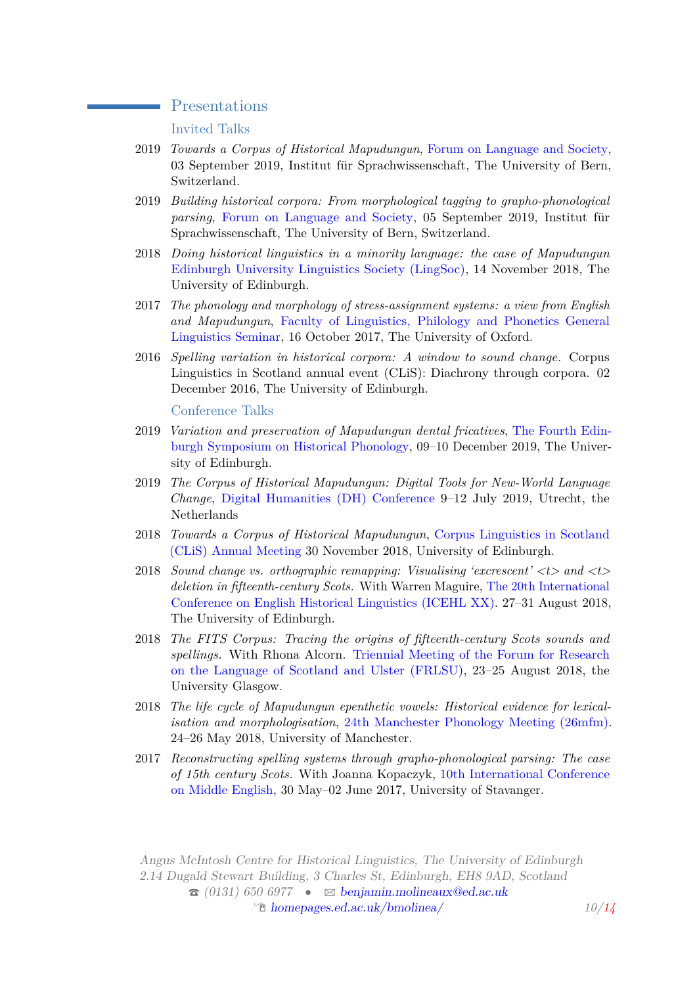#### Presentations

Invited Talks

- 2019 *Towards a Corpus of Historical Mapudungun*, [Forum on Language and Society,](https://www.csls.unibe.ch/studies/events/lectures_and_workshops/towards_a_corpus_of_historical_mapudungun/index_eng.html) 03 September 2019, Institut für Sprachwissenschaft, The University of Bern, Switzerland.
- 2019 *Building historical corpora: From morphological tagging to grapho-phonological parsing*, [Forum on Language and Society,](https://www.csls.unibe.ch/studies/events/lectures_and_workshops/building_historical_corpora_from_morphological_tagging_to_grapho_phonological_parsing/index_eng.html) 05 September 2019, Institut für Sprachwissenschaft, The University of Bern, Switzerland.
- 2018 *Doing historical linguistics in a minority language: the case of Mapudungun* [Edinburgh University Linguistics Society \(LingSoc\),](https://www.facebook.com/eulingsoc/) 14 November 2018, The University of Edinburgh.
- 2017 *The phonology and morphology of stress-assignment systems: a view from English and Mapudungun*, [Faculty of Linguistics, Philology and Phonetics General](http://www.ling-phil.ox.ac.uk/current-students) [Linguistics Seminar,](http://www.ling-phil.ox.ac.uk/current-students) 16 October 2017, The University of Oxford.
- 2016 *Spelling variation in historical corpora: A window to sound change.* Corpus Linguistics in Scotland annual event (CLiS): Diachrony through corpora. 02 December 2016, The University of Edinburgh.

Conference Talks

- 2019 *Variation and preservation of Mapudungun dental fricatives*, [The Fourth Edin](http://www.lel.ed.ac.uk/symposium-on-historical-phonology/eshp4/)[burgh Symposium on Historical Phonology,](http://www.lel.ed.ac.uk/symposium-on-historical-phonology/eshp4/) 09–10 December 2019, The University of Edinburgh.
- 2019 *The Corpus of Historical Mapudungun: Digital Tools for New-World Language Change*, [Digital Humanities \(DH\) Conference](https://dh2019.adho.org/programme/book-of-abstracts/) 9–12 July 2019, Utrecht, the Netherlands
- 2018 *Towards a Corpus of Historical Mapudungun*, [Corpus Linguistics in Scotland](https://uoe.sharepoint.com/sites/hss/ppls/PPLS) [\(CLiS\) Annual Meeting](https://uoe.sharepoint.com/sites/hss/ppls/PPLS) 30 November 2018, University of Edinburgh.
- 2018 *Sound change vs. orthographic remapping: Visualising 'excrescent' <t> and <t> deletion in fifteenth-century Scots.* With Warren Maguire, [The 20th International](http://www.conferences.cahss.ed.ac.uk/icehl20/) [Conference on English Historical Linguistics \(ICEHL XX\).](http://www.conferences.cahss.ed.ac.uk/icehl20/) 27–31 August 2018, The University of Edinburgh.
- 2018 *The FITS Corpus: Tracing the origins of fifteenth-century Scots sounds and spellings.* With Rhona Alcorn. [Triennial Meeting of the Forum for Research](https://frlsu.org/) [on the Language of Scotland and Ulster \(FRLSU\),](https://frlsu.org/) 23–25 August 2018, the University Glasgow.
- 2018 *The life cycle of Mapudungun epenthetic vowels: Historical evidence for lexicalisation and morphologisation*, [24th Manchester Phonology Meeting \(26mfm\).](http://www.lel.ed.ac.uk/mfm/26mfm.html) 24–26 May 2018, University of Manchester.
- 2017 *Reconstructing spelling systems through grapho-phonological parsing: The case of 15th century Scots.* With Joanna Kopaczyk, [10th International Conference](http://www.uis.no/news/conferences/10th-international-conference-on-middle-english/) [on Middle English,](http://www.uis.no/news/conferences/10th-international-conference-on-middle-english/) 30 May–02 June 2017, University of Stavanger.

Angus McIntosh Centre for Historical Linguistics, The University of Edinburgh 2.14 Dugald Stewart Building, 3 Charles St, Edinburgh, EH8 9AD, Scotland  $\hat{\sigma}$  (0131) 650 6977 •  $\approx$  [benjamin.molineaux@ed.ac.uk](mailto:benjamin.molineaux@ed.ac.uk) <sup>*I*</sup> [homepages.ed.ac.uk/bmolinea/](http://homepages.ed.ac.uk/bmolinea/) *10[/14](#page-12-0)*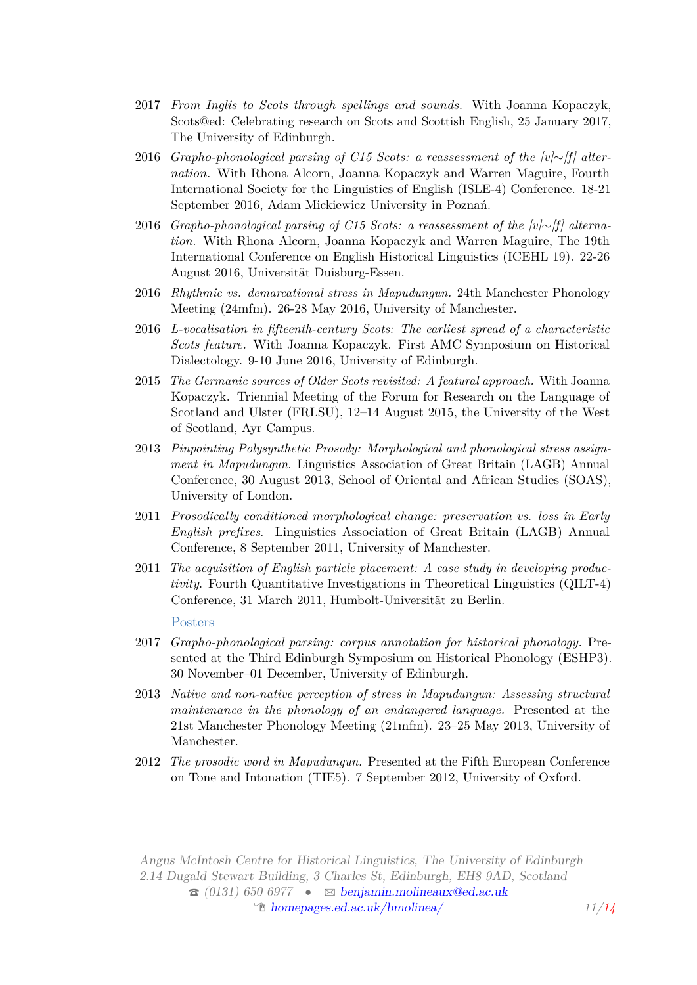- 2017 *From Inglis to Scots through spellings and sounds.* With Joanna Kopaczyk, Scots@ed: Celebrating research on Scots and Scottish English, 25 January 2017, The University of Edinburgh.
- 2016 *Grapho-phonological parsing of C15 Scots: a reassessment of the [v]*∼*[f] alternation.* With Rhona Alcorn, Joanna Kopaczyk and Warren Maguire, Fourth International Society for the Linguistics of English (ISLE-4) Conference. 18-21 September 2016, Adam Mickiewicz University in Poznań.
- 2016 *Grapho-phonological parsing of C15 Scots: a reassessment of the [v]*∼*[f] alternation.* With Rhona Alcorn, Joanna Kopaczyk and Warren Maguire, The 19th International Conference on English Historical Linguistics (ICEHL 19). 22-26 August 2016, Universität Duisburg-Essen.
- 2016 *Rhythmic vs. demarcational stress in Mapudungun.* 24th Manchester Phonology Meeting (24mfm). 26-28 May 2016, University of Manchester.
- 2016 *L-vocalisation in fifteenth-century Scots: The earliest spread of a characteristic Scots feature.* With Joanna Kopaczyk. First AMC Symposium on Historical Dialectology. 9-10 June 2016, University of Edinburgh.
- 2015 *The Germanic sources of Older Scots revisited: A featural approach.* With Joanna Kopaczyk. Triennial Meeting of the Forum for Research on the Language of Scotland and Ulster (FRLSU), 12–14 August 2015, the University of the West of Scotland, Ayr Campus.
- 2013 *Pinpointing Polysynthetic Prosody: Morphological and phonological stress assignment in Mapudungun*. Linguistics Association of Great Britain (LAGB) Annual Conference, 30 August 2013, School of Oriental and African Studies (SOAS), University of London.
- 2011 *Prosodically conditioned morphological change: preservation vs. loss in Early English prefixes*. Linguistics Association of Great Britain (LAGB) Annual Conference, 8 September 2011, University of Manchester.
- 2011 *The acquisition of English particle placement: A case study in developing productivity*. Fourth Quantitative Investigations in Theoretical Linguistics (QILT-4) Conference, 31 March 2011, Humbolt-Universität zu Berlin.

#### Posters

- 2017 *Grapho-phonological parsing: corpus annotation for historical phonology.* Presented at the Third Edinburgh Symposium on Historical Phonology (ESHP3). 30 November–01 December, University of Edinburgh.
- 2013 *Native and non-native perception of stress in Mapudungun: Assessing structural maintenance in the phonology of an endangered language.* Presented at the 21st Manchester Phonology Meeting (21mfm). 23–25 May 2013, University of Manchester.
- 2012 *The prosodic word in Mapudungun.* Presented at the Fifth European Conference on Tone and Intonation (TIE5). 7 September 2012, University of Oxford.

Angus McIntosh Centre for Historical Linguistics, The University of Edinburgh 2.14 Dugald Stewart Building, 3 Charles St, Edinburgh, EH8 9AD, Scotland  $\hat{\sigma}$  (0131) 650 6977 •  $\approx$  [benjamin.molineaux@ed.ac.uk](mailto:benjamin.molineaux@ed.ac.uk)  $\hat{\mathbb{P}}$  [homepages.ed.ac.uk/bmolinea/](http://homepages.ed.ac.uk/bmolinea/) *11[/14](#page-12-0)*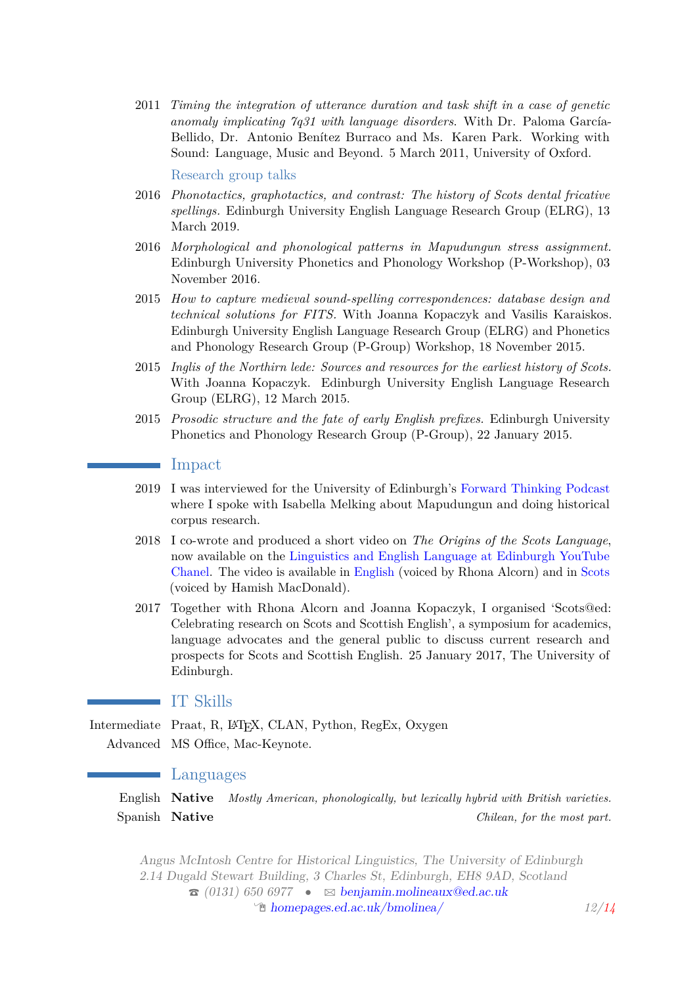2011 *Timing the integration of utterance duration and task shift in a case of genetic anomaly implicating 7q31 with language disorders*. With Dr. Paloma García-Bellido, Dr. Antonio Benítez Burraco and Ms. Karen Park. Working with Sound: Language, Music and Beyond. 5 March 2011, University of Oxford.

Research group talks

- 2016 *Phonotactics, graphotactics, and contrast: The history of Scots dental fricative spellings.* Edinburgh University English Language Research Group (ELRG), 13 March 2019.
- 2016 *Morphological and phonological patterns in Mapudungun stress assignment.* Edinburgh University Phonetics and Phonology Workshop (P-Workshop), 03 November 2016.
- 2015 *How to capture medieval sound-spelling correspondences: database design and technical solutions for FITS.* With Joanna Kopaczyk and Vasilis Karaiskos. Edinburgh University English Language Research Group (ELRG) and Phonetics and Phonology Research Group (P-Group) Workshop, 18 November 2015.
- 2015 *Inglis of the Northirn lede: Sources and resources for the earliest history of Scots.* With Joanna Kopaczyk. Edinburgh University English Language Research Group (ELRG), 12 March 2015.
- 2015 *Prosodic structure and the fate of early English prefixes.* Edinburgh University Phonetics and Phonology Research Group (P-Group), 22 January 2015.

#### Impact

- 2019 I was interviewed for the University of Edinburgh's [Forward Thinking Podcast](https://forwardthinking.ppls.ed.ac.uk/2019/02/19/mapping-mapudungun/) where I spoke with Isabella Melking about Mapudungun and doing historical corpus research.
- 2018 I co-wrote and produced a short video on *The Origins of the Scots Language*, now available on the [Linguistics and English Language at Edinburgh YouTube](https://www.youtube.com/channel/UC82ebykCjfECGwPsvCXVLwA) [Chanel.](https://www.youtube.com/channel/UC82ebykCjfECGwPsvCXVLwA) The video is available in [English](https://www.youtube.com/watch?v=pBb_jKKCcC8&t=48s) (voiced by Rhona Alcorn) and in [Scots](https://www.youtube.com/watch?v=tYwcjJ7Eaps) (voiced by Hamish MacDonald).
- 2017 Together with Rhona Alcorn and Joanna Kopaczyk, I organised 'Scots@ed: Celebrating research on Scots and Scottish English', a symposium for academics, language advocates and the general public to discuss current research and prospects for Scots and Scottish English. 25 January 2017, The University of Edinburgh.

# IT Skills

Intermediate Praat, R, IATEX, CLAN, Python, RegEx, Oxygen Advanced MS Office, Mac-Keynote.

#### Languages

English **Native** *Mostly American, phonologically, but lexically hybrid with British varieties.* Spanish **Native** *Chilean, for the most part.*

Angus McIntosh Centre for Historical Linguistics, The University of Edinburgh 2.14 Dugald Stewart Building, 3 Charles St, Edinburgh, EH8 9AD, Scotland  $\hat{\sigma}$  (0131) 650 6977 •  $\approx$  [benjamin.molineaux@ed.ac.uk](mailto:benjamin.molineaux@ed.ac.uk) Í [homepages.ed.ac.uk/bmolinea/](http://homepages.ed.ac.uk/bmolinea/) *12[/14](#page-12-0)*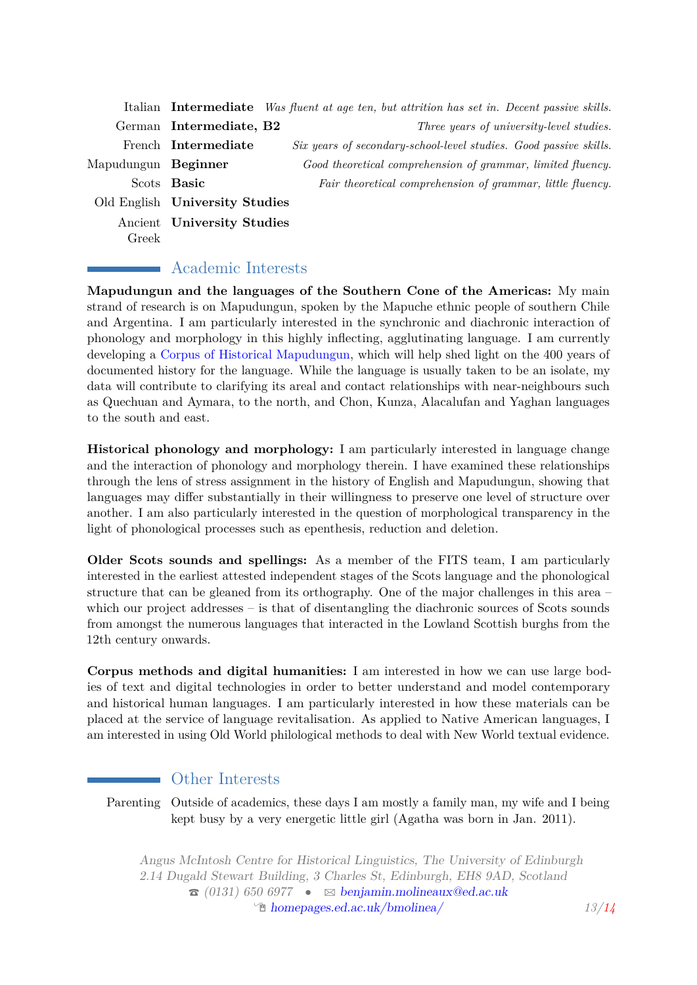|                     |                                | Italian Intermediate Was fluent at age ten, but attrition has set in. Decent passive skills. |
|---------------------|--------------------------------|----------------------------------------------------------------------------------------------|
|                     | German Intermediate, B2        | Three years of university-level studies.                                                     |
|                     | French Intermediate            | Six years of secondary-school-level studies. Good passive skills.                            |
| Mapudungun Beginner |                                | Good theoretical comprehension of grammar, limited fluency.                                  |
|                     | Scots Basic                    | Fair theoretical comprehension of grammar, little fluency.                                   |
|                     | Old English University Studies |                                                                                              |
|                     | Ancient University Studies     |                                                                                              |
| Greek               |                                |                                                                                              |

# Academic Interests

**Mapudungun and the languages of the Southern Cone of the Americas:** My main strand of research is on Mapudungun, spoken by the Mapuche ethnic people of southern Chile and Argentina. I am particularly interested in the synchronic and diachronic interaction of phonology and morphology in this highly inflecting, agglutinating language. I am currently developing a [Corpus of Historical Mapudungun,](https://benmolineaux.github.io/) which will help shed light on the 400 years of documented history for the language. While the language is usually taken to be an isolate, my data will contribute to clarifying its areal and contact relationships with near-neighbours such as Quechuan and Aymara, to the north, and Chon, Kunza, Alacalufan and Yaghan languages to the south and east.

**Historical phonology and morphology:** I am particularly interested in language change and the interaction of phonology and morphology therein. I have examined these relationships through the lens of stress assignment in the history of English and Mapudungun, showing that languages may differ substantially in their willingness to preserve one level of structure over another. I am also particularly interested in the question of morphological transparency in the light of phonological processes such as epenthesis, reduction and deletion.

**Older Scots sounds and spellings:** As a member of the FITS team, I am particularly interested in the earliest attested independent stages of the Scots language and the phonological structure that can be gleaned from its orthography. One of the major challenges in this area – which our project addresses – is that of disentangling the diachronic sources of Scots sounds from amongst the numerous languages that interacted in the Lowland Scottish burghs from the 12th century onwards.

**Corpus methods and digital humanities:** I am interested in how we can use large bodies of text and digital technologies in order to better understand and model contemporary and historical human languages. I am particularly interested in how these materials can be placed at the service of language revitalisation. As applied to Native American languages, I am interested in using Old World philological methods to deal with New World textual evidence.

# **Example 1** Other Interests

<span id="page-12-0"></span>Parenting Outside of academics, these days I am mostly a family man, my wife and I being kept busy by a very energetic little girl (Agatha was born in Jan. 2011).

Angus McIntosh Centre for Historical Linguistics, The University of Edinburgh 2.14 Dugald Stewart Building, 3 Charles St, Edinburgh, EH8 9AD, Scotland  $\hat{\sigma}$  (0131) 650 6977 •  $\approx$  [benjamin.molineaux@ed.ac.uk](mailto:benjamin.molineaux@ed.ac.uk) Í [homepages.ed.ac.uk/bmolinea/](http://homepages.ed.ac.uk/bmolinea/) *13[/14](#page-12-0)*